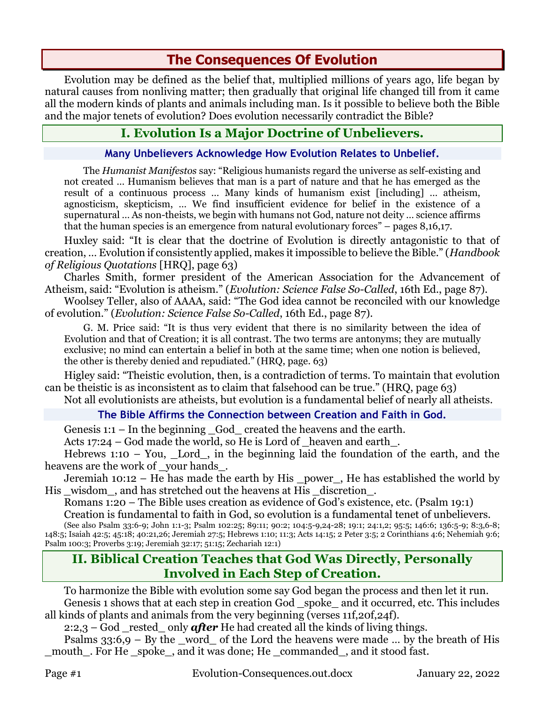# **The Consequences Of Evolution**

Evolution may be defined as the belief that, multiplied millions of years ago, life began by natural causes from nonliving matter; then gradually that original life changed till from it came all the modern kinds of plants and animals including man. Is it possible to believe both the Bible and the major tenets of evolution? Does evolution necessarily contradict the Bible?

## **I. Evolution Is a Major Doctrine of Unbelievers.**

#### **Many Unbelievers Acknowledge How Evolution Relates to Unbelief.**

The *Humanist Manifestos* say: "Religious humanists regard the universe as self-existing and not created … Humanism believes that man is a part of nature and that he has emerged as the result of a continuous process … Many kinds of humanism exist [including] … atheism, agnosticism, skepticism, … We find insufficient evidence for belief in the existence of a supernatural … As non-theists, we begin with humans not God, nature not deity … science affirms that the human species is an emergence from natural evolutionary forces" – pages 8,16,17.

Huxley said: "It is clear that the doctrine of Evolution is directly antagonistic to that of creation, … Evolution if consistently applied, makes it impossible to believe the Bible." (*Handbook of Religious Quotations* [HRQ], page 63)

Charles Smith, former president of the American Association for the Advancement of Atheism, said: "Evolution is atheism." (*Evolution: Science False So-Called*, 16th Ed., page 87).

Woolsey Teller, also of AAAA, said: "The God idea cannot be reconciled with our knowledge of evolution." (*Evolution: Science False So-Called*, 16th Ed., page 87).

G. M. Price said: "It is thus very evident that there is no similarity between the idea of Evolution and that of Creation; it is all contrast. The two terms are antonyms; they are mutually exclusive; no mind can entertain a belief in both at the same time; when one notion is believed, the other is thereby denied and repudiated." (HRQ, page. 63)

Higley said: "Theistic evolution, then, is a contradiction of terms. To maintain that evolution can be theistic is as inconsistent as to claim that falsehood can be true." (HRQ, page 63)

Not all evolutionists are atheists, but evolution is a fundamental belief of nearly all atheists.

### **The Bible Affirms the Connection between Creation and Faith in God.**

Genesis 1:1 – In the beginning \_God\_ created the heavens and the earth.

Acts 17:24 – God made the world, so He is Lord of \_heaven and earth\_.

Hebrews 1:10 – You, Lord, in the beginning laid the foundation of the earth, and the heavens are the work of your hands.

Jeremiah 10:12 – He has made the earth by His \_power\_, He has established the world by His wisdom, and has stretched out the heavens at His discretion.

Romans 1:20 – The Bible uses creation as evidence of God's existence, etc. (Psalm 19:1)

Creation is fundamental to faith in God, so evolution is a fundamental tenet of unbelievers.

(See also Psalm 33:6-9; John 1:1-3; Psalm 102:25; 89:11; 90:2; 104:5-9,24-28; 19:1; 24:1,2; 95:5; 146:6; 136:5-9; 8:3,6-8; 148:5; Isaiah 42:5; 45:18; 40:21,26; Jeremiah 27:5; Hebrews 1:10; 11:3; Acts 14:15; 2 Peter 3:5; 2 Corinthians 4:6; Nehemiah 9:6; Psalm 100:3; Proverbs 3:19; Jeremiah 32:17; 51:15; Zechariah 12:1)

### **II. Biblical Creation Teaches that God Was Directly, Personally Involved in Each Step of Creation.**

To harmonize the Bible with evolution some say God began the process and then let it run. Genesis 1 shows that at each step in creation God spoke and it occurred, etc. This includes all kinds of plants and animals from the very beginning (verses 11f,20f,24f).

2:2,3 – God rested only **after** He had created all the kinds of living things.

Psalms  $33:6,9 - By$  the \_word\_ of the Lord the heavens were made ... by the breath of His mouth . For He spoke, and it was done; He commanded, and it stood fast.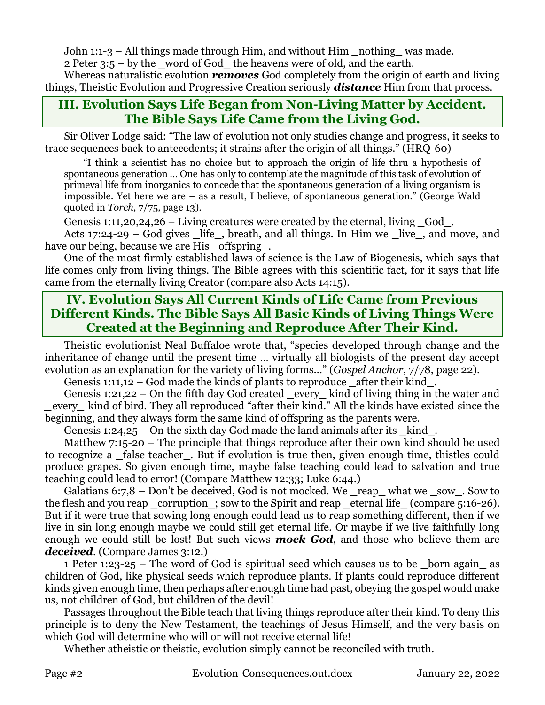John 1:1-3 – All things made through Him, and without Him \_nothing\_ was made.

2 Peter 3:5 – by the \_word of God\_ the heavens were of old, and the earth.

Whereas naturalistic evolution *removes* God completely from the origin of earth and living things, Theistic Evolution and Progressive Creation seriously *distance* Him from that process.

### **III. Evolution Says Life Began from Non-Living Matter by Accident. The Bible Says Life Came from the Living God.**

Sir Oliver Lodge said: "The law of evolution not only studies change and progress, it seeks to trace sequences back to antecedents; it strains after the origin of all things." (HRQ-60)

"I think a scientist has no choice but to approach the origin of life thru a hypothesis of spontaneous generation … One has only to contemplate the magnitude of this task of evolution of primeval life from inorganics to concede that the spontaneous generation of a living organism is impossible. Yet here we are – as a result, I believe, of spontaneous generation." (George Wald quoted in *Torch*, 7/75, page 13).

Genesis 1:11,20,24,26 – Living creatures were created by the eternal, living  $\,$  God  $\,$ .

Acts 17:24-29 – God gives life, breath, and all things. In Him we live, and move, and have our being, because we are His offspring.

One of the most firmly established laws of science is the Law of Biogenesis, which says that life comes only from living things. The Bible agrees with this scientific fact, for it says that life came from the eternally living Creator (compare also Acts 14:15).

## **IV. Evolution Says All Current Kinds of Life Came from Previous Different Kinds. The Bible Says All Basic Kinds of Living Things Were Created at the Beginning and Reproduce After Their Kind.**

Theistic evolutionist Neal Buffaloe wrote that, "species developed through change and the inheritance of change until the present time … virtually all biologists of the present day accept evolution as an explanation for the variety of living forms…" (*Gospel Anchor*, 7/78, page 22).

Genesis 1:11,12 – God made the kinds of plants to reproduce after their kind.

Genesis 1:21,22 – On the fifth day God created every kind of living thing in the water and *\_*every*\_* kind of bird. They all reproduced "after their kind." All the kinds have existed since the beginning, and they always form the same kind of offspring as the parents were.

Genesis 1:24,25 – On the sixth day God made the land animals after its  $\,$  kind  $\,$ .

Matthew 7:15-20 – The principle that things reproduce after their own kind should be used to recognize a false teacher. But if evolution is true then, given enough time, thistles could produce grapes. So given enough time, maybe false teaching could lead to salvation and true teaching could lead to error! (Compare Matthew 12:33; Luke 6:44.)

Galatians 6:7,8 – Don't be deceived, God is not mocked. We \_reap\_ what we \_sow\_. Sow to the flesh and you reap \_corruption\_; sow to the Spirit and reap \_eternal life\_ (compare 5:16-26). But if it were true that sowing long enough could lead us to reap something different, then if we live in sin long enough maybe we could still get eternal life. Or maybe if we live faithfully long enough we could still be lost! But such views *mock God*, and those who believe them are *deceived*. (Compare James 3:12.)

1 Peter 1:23-25 – The word of God is spiritual seed which causes us to be born again as children of God, like physical seeds which reproduce plants. If plants could reproduce different kinds given enough time, then perhaps after enough time had past, obeying the gospel would make us, not children of God, but children of the devil!

Passages throughout the Bible teach that living things reproduce after their kind. To deny this principle is to deny the New Testament, the teachings of Jesus Himself, and the very basis on which God will determine who will or will not receive eternal life!

Whether atheistic or theistic, evolution simply cannot be reconciled with truth.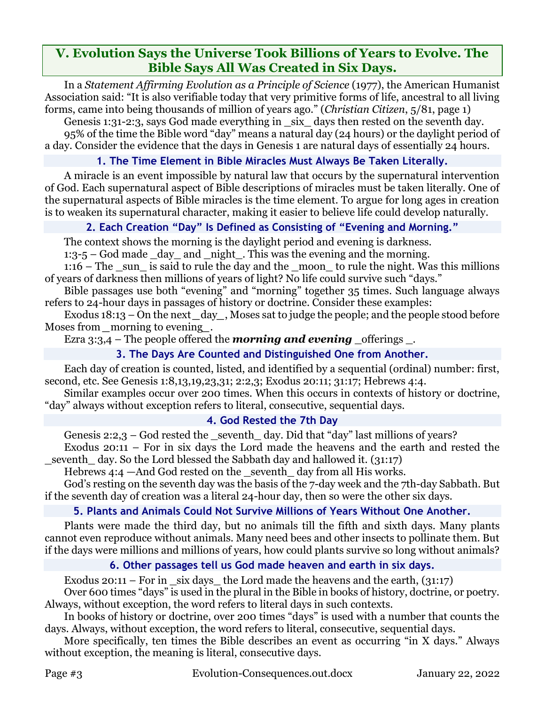### **V. Evolution Says the Universe Took Billions of Years to Evolve. The Bible Says All Was Created in Six Days.**

In a *Statement Affirming Evolution as a Principle of Science* (1977), the American Humanist Association said: "It is also verifiable today that very primitive forms of life, ancestral to all living forms, came into being thousands of million of years ago." (*Christian Citizen*, 5/81, page 1)

Genesis 1:31-2:3, says God made everything in \_six\_ days then rested on the seventh day. 95% of the time the Bible word "day" means a natural day (24 hours) or the daylight period of a day. Consider the evidence that the days in Genesis 1 are natural days of essentially 24 hours.

### **1. The Time Element in Bible Miracles Must Always Be Taken Literally.**

A miracle is an event impossible by natural law that occurs by the supernatural intervention of God. Each supernatural aspect of Bible descriptions of miracles must be taken literally. One of the supernatural aspects of Bible miracles is the time element. To argue for long ages in creation is to weaken its supernatural character, making it easier to believe life could develop naturally.

### **2. Each Creation "Day" Is Defined as Consisting of "Evening and Morning."**

The context shows the morning is the daylight period and evening is darkness.

 $1:3-5$  – God made  $\_\text{day}$  and  $\_\text{night}$ . This was the evening and the morning.

 $1:16$  – The sun is said to rule the day and the moon to rule the night. Was this millions of years of darkness then millions of years of light? No life could survive such "days."

Bible passages use both "evening" and "morning" together 35 times. Such language always refers to 24-hour days in passages of history or doctrine. Consider these examples:

Exodus 18:13 – On the next *\_*day*\_*, Moses sat to judge the people; and the people stood before Moses from morning to evening.

Ezra  $3:3,4$  – The people offered the *morning and evening* offerings.

### **3. The Days Are Counted and Distinguished One from Another.**

Each day of creation is counted, listed, and identified by a sequential (ordinal) number: first, second, etc. See Genesis 1:8,13,19,23,31; 2:2,3; Exodus 20:11; 31:17; Hebrews 4:4.

Similar examples occur over 200 times. When this occurs in contexts of history or doctrine, "day" always without exception refers to literal, consecutive, sequential days.

### **4. God Rested the 7th Day**

Genesis 2:2,3 – God rested the \_seventh\_ day. Did that "day" last millions of years?

Exodus 20:11 – For in six days the Lord made the heavens and the earth and rested the \_seventh\_ day. So the Lord blessed the Sabbath day and hallowed it. (31:17)

Hebrews  $4:4 - And God$  rested on the seventh day from all His works.

God's resting on the seventh day was the basis of the 7-day week and the 7th-day Sabbath. But if the seventh day of creation was a literal 24-hour day, then so were the other six days.

### **5. Plants and Animals Could Not Survive Millions of Years Without One Another.**

Plants were made the third day, but no animals till the fifth and sixth days. Many plants cannot even reproduce without animals. Many need bees and other insects to pollinate them. But if the days were millions and millions of years, how could plants survive so long without animals?

### **6. Other passages tell us God made heaven and earth in six days.**

Exodus 20:11 – For in six days the Lord made the heavens and the earth,  $(31:17)$ 

Over 600 times "days" is used in the plural in the Bible in books of history, doctrine, or poetry. Always, without exception, the word refers to literal days in such contexts.

In books of history or doctrine, over 200 times "days" is used with a number that counts the days. Always, without exception, the word refers to literal, consecutive, sequential days.

More specifically, ten times the Bible describes an event as occurring "in X days." Always without exception, the meaning is literal, consecutive days.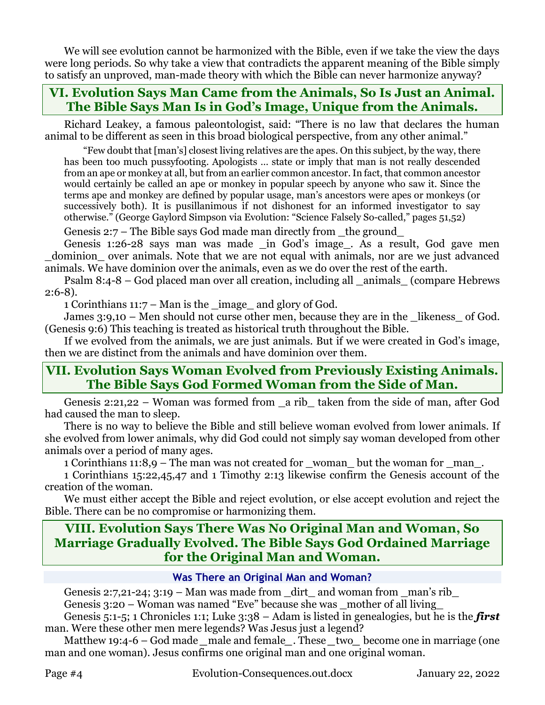We will see evolution cannot be harmonized with the Bible, even if we take the view the days were long periods. So why take a view that contradicts the apparent meaning of the Bible simply to satisfy an unproved, man-made theory with which the Bible can never harmonize anyway?

### **VI. Evolution Says Man Came from the Animals, So Is Just an Animal. The Bible Says Man Is in God's Image, Unique from the Animals.**

Richard Leakey, a famous paleontologist, said: "There is no law that declares the human animal to be different as seen in this broad biological perspective, from any other animal."

"Few doubt that [man's] closest living relatives are the apes. On this subject, by the way, there has been too much pussyfooting. Apologists … state or imply that man is not really descended from an ape or monkey at all, but from an earlier common ancestor. In fact, that common ancestor would certainly be called an ape or monkey in popular speech by anyone who saw it. Since the terms ape and monkey are defined by popular usage, man's ancestors were apes or monkeys (or successively both). It is pusillanimous if not dishonest for an informed investigator to say otherwise." (George Gaylord Simpson via Evolution: "Science Falsely So-called," pages 51,52)

Genesis  $2:7$  – The Bible says God made man directly from the ground

Genesis 1:26-28 says man was made \_in God's image\_. As a result, God gave men dominion over animals. Note that we are not equal with animals, nor are we just advanced animals. We have dominion over the animals, even as we do over the rest of the earth.

Psalm 8:4-8 – God placed man over all creation, including all \_animals\_ (compare Hebrews 2:6-8).

1 Corinthians 11:7 – Man is the \_image\_ and glory of God.

James 3:9,10 – Men should not curse other men, because they are in the likeness of God. (Genesis 9:6) This teaching is treated as historical truth throughout the Bible.

If we evolved from the animals, we are just animals. But if we were created in God's image, then we are distinct from the animals and have dominion over them.

### **VII. Evolution Says Woman Evolved from Previously Existing Animals. The Bible Says God Formed Woman from the Side of Man.**

Genesis 2:21,22 – Woman was formed from \_a rib\_ taken from the side of man, after God had caused the man to sleep.

There is no way to believe the Bible and still believe woman evolved from lower animals. If she evolved from lower animals, why did God could not simply say woman developed from other animals over a period of many ages.

1 Corinthians 11:8,9 – The man was not created for \_woman\_ but the woman for \_man\_.

1 Corinthians 15:22,45,47 and 1 Timothy 2:13 likewise confirm the Genesis account of the creation of the woman.

We must either accept the Bible and reject evolution, or else accept evolution and reject the Bible. There can be no compromise or harmonizing them.

### **VIII. Evolution Says There Was No Original Man and Woman, So Marriage Gradually Evolved. The Bible Says God Ordained Marriage for the Original Man and Woman.**

#### **Was There an Original Man and Woman?**

Genesis 2:7,21-24; 3:19 – Man was made from  $\det$  and woman from man's rib

Genesis 3:20 – Woman was named "Eve" because she was \_mother of all living

Genesis 5:1-5; 1 Chronicles 1:1; Luke 3:38 – Adam is listed in genealogies, but he is the *first*  man. Were these other men mere legends? Was Jesus just a legend?

Matthew 19:4-6 – God made *male and female*. These *two* become one in marriage (one man and one woman). Jesus confirms one original man and one original woman.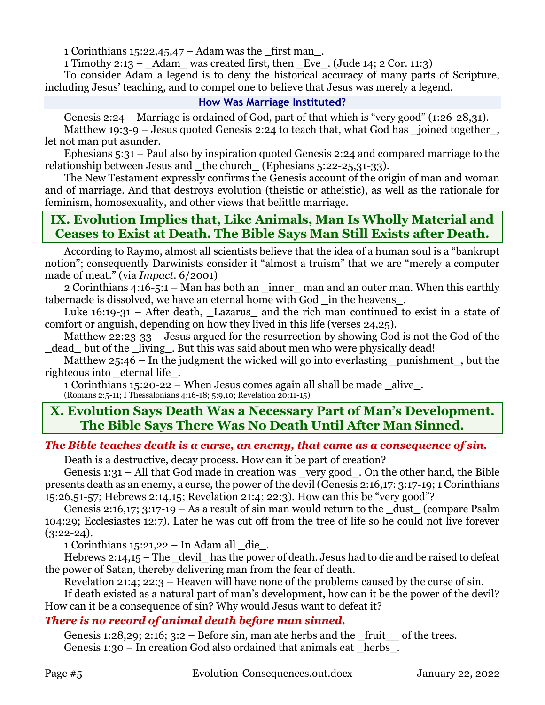1 Corinthians 15:22,45,47 – Adam was the \_first man.

1 Timothy 2:13 –  $\Delta$ dam was created first, then Eve. (Jude 14; 2 Cor. 11:3)

To consider Adam a legend is to deny the historical accuracy of many parts of Scripture, including Jesus' teaching, and to compel one to believe that Jesus was merely a legend.

#### **How Was Marriage Instituted?**

Genesis 2:24 – Marriage is ordained of God, part of that which is "very good" (1:26-28,31).

Matthew 19:3-9 – Jesus quoted Genesis 2:24 to teach that, what God has \_joined together\_, let not man put asunder.

Ephesians 5:31 – Paul also by inspiration quoted Genesis 2:24 and compared marriage to the relationship between Jesus and \_the church\_ (Ephesians 5:22-25,31-33).

The New Testament expressly confirms the Genesis account of the origin of man and woman and of marriage. And that destroys evolution (theistic or atheistic), as well as the rationale for feminism, homosexuality, and other views that belittle marriage.

## **IX. Evolution Implies that, Like Animals, Man Is Wholly Material and Ceases to Exist at Death. The Bible Says Man Still Exists after Death.**

According to Raymo, almost all scientists believe that the idea of a human soul is a "bankrupt notion"; consequently Darwinists consider it "almost a truism" that we are "merely a computer made of meat." (via *Impact*. 6/2001)

2 Corinthians 4:16-5:1 – Man has both an \_inner\_ man and an outer man. When this earthly tabernacle is dissolved, we have an eternal home with God in the heavens.

Luke  $16:19-31$  – After death, Lazarus and the rich man continued to exist in a state of comfort or anguish, depending on how they lived in this life (verses 24,25).

Matthew 22:23-33 – Jesus argued for the resurrection by showing God is not the God of the dead but of the living. But this was said about men who were physically dead!

Matthew  $25:46$  – In the judgment the wicked will go into everlasting punishment, but the righteous into eternal life.

1 Corinthians 15:20-22 – When Jesus comes again all shall be made \_alive\_. (Romans 2:5-11; I Thessalonians 4:16-18; 5:9,10; Revelation 20:11-15)

## **X. Evolution Says Death Was a Necessary Part of Man's Development. The Bible Says There Was No Death Until After Man Sinned.**

### *The Bible teaches death is a curse, an enemy, that came as a consequence of sin.*

Death is a destructive, decay process. How can it be part of creation?

Genesis 1:31 – All that God made in creation was \_very good\_. On the other hand, the Bible presents death as an enemy, a curse, the power of the devil (Genesis 2:16,17: 3:17-19; 1 Corinthians 15:26,51-57; Hebrews 2:14,15; Revelation 21:4; 22:3). How can this be "very good"?

Genesis 2:16,17; 3:17-19 – As a result of sin man would return to the dust (compare Psalm 104:29; Ecclesiastes 12:7). Later he was cut off from the tree of life so he could not live forever  $(3:22-24).$ 

1 Corinthians  $15:21,22$  – In Adam all  $\_\text{die}\_\text{e}$ .

Hebrews 2:14,15 – The devil has the power of death. Jesus had to die and be raised to defeat the power of Satan, thereby delivering man from the fear of death.

Revelation 21:4; 22:3 – Heaven will have none of the problems caused by the curse of sin.

If death existed as a natural part of man's development, how can it be the power of the devil? How can it be a consequence of sin? Why would Jesus want to defeat it?

### *There is no record of animal death before man sinned.*

Genesis 1:28,29; 2:16;  $3:2 -$  Before sin, man ate herbs and the fruit of the trees. Genesis  $1:30 - In$  creation God also ordained that animals eat herbs.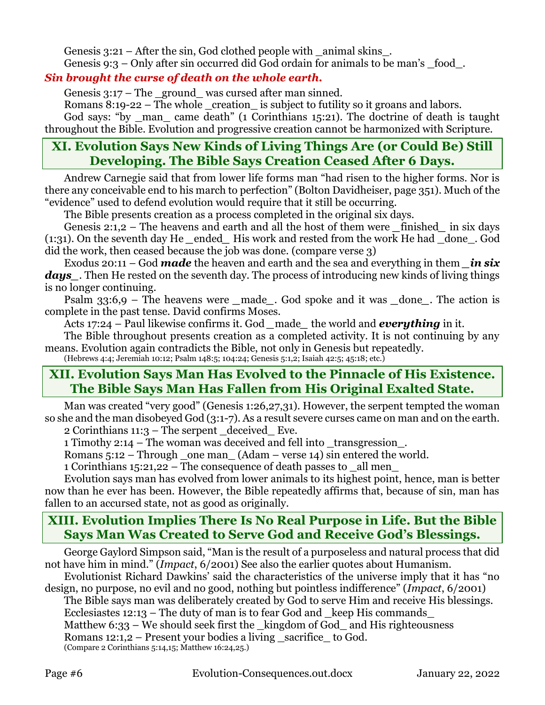Genesis  $3:21$  – After the sin, God clothed people with animal skins. Genesis 9:3 – Only after sin occurred did God ordain for animals to be man's \_food\_.

### *Sin brought the curse of death on the whole earth.*

Genesis  $3:17$  – The ground was cursed after man sinned.

Romans  $8:19-22$  – The whole creation is subject to futility so it groans and labors.

God says: "by \_man\_ came death" (1 Corinthians 15:21). The doctrine of death is taught throughout the Bible. Evolution and progressive creation cannot be harmonized with Scripture.

## **XI. Evolution Says New Kinds of Living Things Are (or Could Be) Still Developing. The Bible Says Creation Ceased After 6 Days.**

Andrew Carnegie said that from lower life forms man "had risen to the higher forms. Nor is there any conceivable end to his march to perfection" (Bolton Davidheiser, page 351). Much of the "evidence" used to defend evolution would require that it still be occurring.

The Bible presents creation as a process completed in the original six days.

Genesis 2:1,2 – The heavens and earth and all the host of them were finished in six days (1:31). On the seventh day He *\_*ended*\_* His work and rested from the work He had \_done\_. God did the work, then ceased because the job was done. (compare verse 3)

Exodus 20:11 – God *made* the heaven and earth and the sea and everything in them *\_in six*  days. Then He rested on the seventh day. The process of introducing new kinds of living things is no longer continuing.

Psalm 33:6,9 – The heavens were *made*. God spoke and it was done. The action is complete in the past tense. David confirms Moses.

Acts 17:24 – Paul likewise confirms it. God *\_*made*\_* the world and *everything* in it.

The Bible throughout presents creation as a completed activity. It is not continuing by any means. Evolution again contradicts the Bible, not only in Genesis but repeatedly.

(Hebrews 4:4; Jeremiah 10:12; Psalm 148:5; 104:24; Genesis 5:1,2; Isaiah 42:5; 45:18; etc.)

## **XII. Evolution Says Man Has Evolved to the Pinnacle of His Existence. The Bible Says Man Has Fallen from His Original Exalted State.**

Man was created "very good" (Genesis 1:26,27,31). However, the serpent tempted the woman so she and the man disobeyed God (3:1-7). As a result severe curses came on man and on the earth.

2 Corinthians 11:3 – The serpent \_deceived\_ Eve.

1 Timothy 2:14 – The woman was deceived and fell into \_transgression\_.

Romans  $5:12$  – Through one man (Adam – verse 14) sin entered the world.

1 Corinthians 15:21,22 – The consequence of death passes to \_all men\_

Evolution says man has evolved from lower animals to its highest point, hence, man is better now than he ever has been. However, the Bible repeatedly affirms that, because of sin, man has fallen to an accursed state, not as good as originally.

## **XIII. Evolution Implies There Is No Real Purpose in Life. But the Bible Says Man Was Created to Serve God and Receive God's Blessings.**

George Gaylord Simpson said, "Man is the result of a purposeless and natural process that did not have him in mind." (*Impact*, 6/2001) See also the earlier quotes about Humanism.

Evolutionist Richard Dawkins' said the characteristics of the universe imply that it has "no design, no purpose, no evil and no good, nothing but pointless indifference" (*Impact*, 6/2001)

The Bible says man was deliberately created by God to serve Him and receive His blessings. Ecclesiastes  $12:13$  – The duty of man is to fear God and  $\alpha$  keep His commands

Matthew 6:33 – We should seek first the \_kingdom of God\_ and His righteousness

Romans  $12:1,2$  – Present your bodies a living sacrifice to God.

(Compare 2 Corinthians 5:14,15; Matthew 16:24,25.)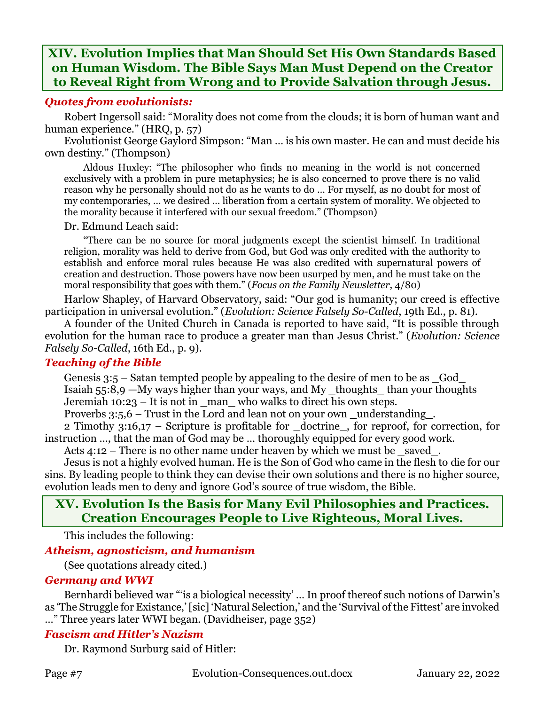## **XIV. Evolution Implies that Man Should Set His Own Standards Based on Human Wisdom. The Bible Says Man Must Depend on the Creator to Reveal Right from Wrong and to Provide Salvation through Jesus.**

#### *Quotes from evolutionists:*

Robert Ingersoll said: "Morality does not come from the clouds; it is born of human want and human experience." (HRQ, p. 57)

Evolutionist George Gaylord Simpson: "Man … is his own master. He can and must decide his own destiny." (Thompson)

Aldous Huxley: "The philosopher who finds no meaning in the world is not concerned exclusively with a problem in pure metaphysics; he is also concerned to prove there is no valid reason why he personally should not do as he wants to do … For myself, as no doubt for most of my contemporaries, … we desired … liberation from a certain system of morality. We objected to the morality because it interfered with our sexual freedom." (Thompson)

#### Dr. Edmund Leach said:

"There can be no source for moral judgments except the scientist himself. In traditional religion, morality was held to derive from God, but God was only credited with the authority to establish and enforce moral rules because He was also credited with supernatural powers of creation and destruction. Those powers have now been usurped by men, and he must take on the moral responsibility that goes with them." (*Focus on the Family Newsletter*, 4/80)

Harlow Shapley, of Harvard Observatory, said: "Our god is humanity; our creed is effective participation in universal evolution." (*Evolution: Science Falsely So-Called*, 19th Ed., p. 81).

A founder of the United Church in Canada is reported to have said, "It is possible through evolution for the human race to produce a greater man than Jesus Christ." (*Evolution: Science Falsely So-Called*, 16th Ed., p. 9).

#### *Teaching of the Bible*

Genesis  $3:5$  – Satan tempted people by appealing to the desire of men to be as  $\,$  God Isaiah 55:8,9 —My ways higher than your ways, and My \_thoughts\_ than your thoughts Jeremiah  $10:23 - It$  is not in  $\mu$  man who walks to direct his own steps.

Proverbs 3:5,6 – Trust in the Lord and lean not on your own \_understanding\_.

2 Timothy 3:16,17 – Scripture is profitable for \_doctrine\_, for reproof, for correction, for instruction …, that the man of God may be … thoroughly equipped for every good work.

Acts 4:12 – There is no other name under heaven by which we must be \_saved\_.

Jesus is not a highly evolved human. He is the Son of God who came in the flesh to die for our sins. By leading people to think they can devise their own solutions and there is no higher source, evolution leads men to deny and ignore God's source of true wisdom, the Bible.

## **XV. Evolution Is the Basis for Many Evil Philosophies and Practices. Creation Encourages People to Live Righteous, Moral Lives.**

This includes the following:

### *Atheism, agnosticism, and humanism*

(See quotations already cited.)

### *Germany and WWI*

Bernhardi believed war "'is a biological necessity' ... In proof thereof such notions of Darwin's as 'The Struggle for Existance,' [sic] 'Natural Selection,' and the 'Survival of the Fittest' are invoked …" Three years later WWI began. (Davidheiser, page 352)

### *Fascism and Hitler's Nazism*

Dr. Raymond Surburg said of Hitler: